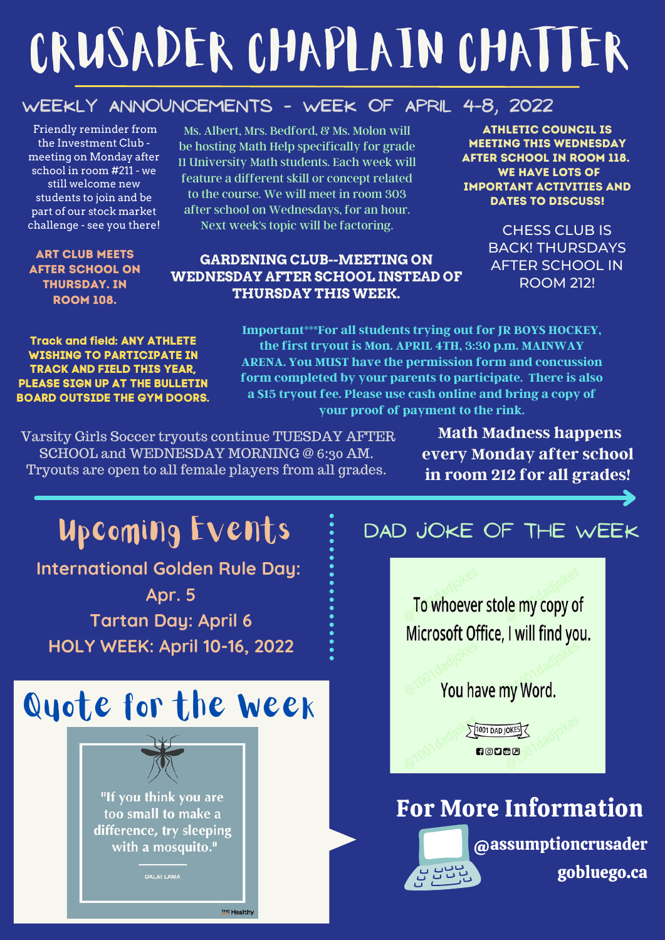# CRUSADER CHAPLAIN CHATTER

### **Weekly Announcements - week of april 4-8, 2022**

Friendly reminder from the Investment Club meeting on Monday after school in room #211 - we still welcome new students to join and be part of our stock market challenge - see you there!

Art Club meets after school on thursDAY. in room 108.

Ms. Albert, Mrs. Bedford, & Ms. Molon will be hosting Math Help specifically for grade 11 University Math students. Each week will feature a different skill or concept related to the course. We will meet in room 303 after school on Wednesdays, for an hour. Next week's topic will be factoring.

#### **GARDENING CLUB--MEETING ON WEDNESDAY AFTER SCHOOL INSTEAD OF THURSDAY THIS WEEK.**

Athletic council is meeting this wednesday after school in room 118. WE HAVE LOTS OF important activities and DATES TO DISCUSS!

> CHESS CLUB IS BACK! THURSDAYS AFTER SCHOOL IN ROOM 212!

**Track and field: ANY ATHLETE WISHING TO PARTICIPATE IN TRACK AND FIELD THIS YEAR, PLEASE SIGN UP AT THE BULLETIN BOARD OUTSIDE THE GYM DOORS.** **Important\*\*\*For all students trying out for JR BOYS HOCKEY, the first tryout is Mon. APRIL 4TH, 3:30 p.m. MAINWAY ARENA. You MUST have the permission form and concussion form completed by your parents to participate. There is also a \$15 tryout fee. Please use cash online and bring a copy of your proof of payment to the rink.**

Varsity Girls Soccer tryouts continue TUESDAY AFTER SCHOOL and WEDNESDAY MORNING @ 6:30 AM. Tryouts are open to all female players from all grades.

**Math Madness happens every Monday after school in room 212 for all grades!**

# Upcoming Events **International Golden Rule Day: Apr. 5 Tartan Day: April 6 HOLY WEEK: April 10-16, 2022** Quote for the Week "If you think you are too small to make a difference, try sleeping

with a mosquito."

**DALAI LAMA** 

**THE Healthy** 

## DAD JOKE OF THE WEEK



For More Information

@assumptioncrusader gobluego.ca